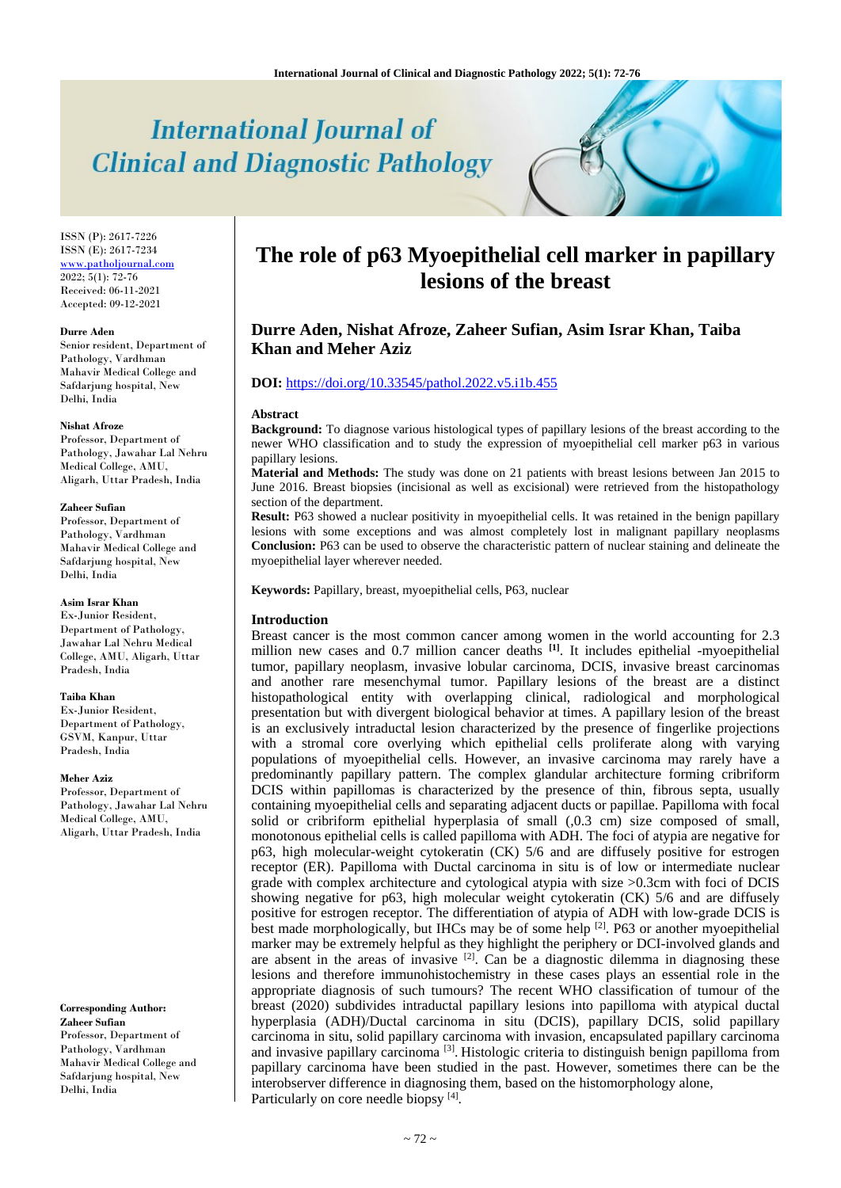# **International Journal of Clinical and Diagnostic Pathology**

ISSN (P): 2617-7226 ISSN (E): 2617-7234 [www.patholjournal.com](http://www.patholjournal.com/)  $2022; 5(1): 72-76$ Received: 06-11-2021 Accepted: 09-12-2021

#### **Durre Aden**

Senior resident, Department of Pathology, Vardhman Mahavir Medical College and Safdarjung hospital, New Delhi, India

#### **Nishat Afroze**

Professor, Department of Pathology, Jawahar Lal Nehru Medical College, AMU, Aligarh, Uttar Pradesh, India

#### **Zaheer Sufian**

Professor, Department of Pathology, Vardhman Mahavir Medical College and Safdarjung hospital, New Delhi, India

#### **Asim Israr Khan**

Ex-Junior Resident, Department of Pathology, Jawahar Lal Nehru Medical College, AMU, Aligarh, Uttar Pradesh, India

#### **Taiba Khan**

Ex-Junior Resident, Department of Pathology, GSVM, Kanpur, Uttar Pradesh, India

#### **Meher Aziz**

Professor, Department of Pathology, Jawahar Lal Nehru Medical College, AMU, Aligarh, Uttar Pradesh, India

**Corresponding Author: Zaheer Sufian** Professor, Department of Pathology, Vardhman Mahavir Medical College and Safdarjung hospital, New Delhi, India

# **The role of p63 Myoepithelial cell marker in papillary lesions of the breast**

# **Durre Aden, Nishat Afroze, Zaheer Sufian, Asim Israr Khan, Taiba Khan and Meher Aziz**

# **DOI:** <https://doi.org/10.33545/pathol.2022.v5.i1b.455>

#### **Abstract**

**Background:** To diagnose various histological types of papillary lesions of the breast according to the newer WHO classification and to study the expression of myoepithelial cell marker p63 in various papillary lesions.

**Material and Methods:** The study was done on 21 patients with breast lesions between Jan 2015 to June 2016. Breast biopsies (incisional as well as excisional) were retrieved from the histopathology section of the department.

**Result:** P63 showed a nuclear positivity in myoepithelial cells. It was retained in the benign papillary lesions with some exceptions and was almost completely lost in malignant papillary neoplasms **Conclusion:** P63 can be used to observe the characteristic pattern of nuclear staining and delineate the myoepithelial layer wherever needed.

**Keywords:** Papillary, breast, myoepithelial cells, P63, nuclear

#### **Introduction**

Breast cancer is the most common cancer among women in the world accounting for 2.3 million new cases and 0.7 million cancer deaths **[1]** . It includes epithelial -myoepithelial tumor, papillary neoplasm, invasive lobular carcinoma, DCIS, invasive breast carcinomas and another rare mesenchymal tumor. Papillary lesions of the breast are a distinct histopathological entity with overlapping clinical, radiological and morphological presentation but with divergent biological behavior at times. A papillary lesion of the breast is an exclusively intraductal lesion characterized by the presence of fingerlike projections with a stromal core overlying which epithelial cells proliferate along with varying populations of myoepithelial cells. However, an invasive carcinoma may rarely have a predominantly papillary pattern. The complex glandular architecture forming cribriform DCIS within papillomas is characterized by the presence of thin, fibrous septa, usually containing myoepithelial cells and separating adjacent ducts or papillae. Papilloma with focal solid or cribriform epithelial hyperplasia of small (,0.3 cm) size composed of small, monotonous epithelial cells is called papilloma with ADH. The foci of atypia are negative for p63, high molecular-weight cytokeratin (CK) 5/6 and are diffusely positive for estrogen receptor (ER). Papilloma with Ductal carcinoma in situ is of low or intermediate nuclear grade with complex architecture and cytological atypia with size >0.3cm with foci of DCIS showing negative for p63, high molecular weight cytokeratin (CK) 5/6 and are diffusely positive for estrogen receptor. The differentiation of atypia of ADH with low-grade DCIS is best made morphologically, but IHCs may be of some help  $[2]$ . P63 or another myoepithelial marker may be extremely helpful as they highlight the periphery or DCI-involved glands and are absent in the areas of invasive  $[2]$ . Can be a diagnostic dilemma in diagnosing these lesions and therefore immunohistochemistry in these cases plays an essential role in the appropriate diagnosis of such tumours? The recent WHO classification of tumour of the breast (2020) subdivides intraductal papillary lesions into papilloma with atypical ductal hyperplasia (ADH)/Ductal carcinoma in situ (DCIS), papillary DCIS, solid papillary carcinoma in situ, solid papillary carcinoma with invasion, encapsulated papillary carcinoma and invasive papillary carcinoma<sup>[3]</sup>. Histologic criteria to distinguish benign papilloma from papillary carcinoma have been studied in the past. However, sometimes there can be the interobserver difference in diagnosing them, based on the histomorphology alone, Particularly on core needle biopsy<sup>[4]</sup>.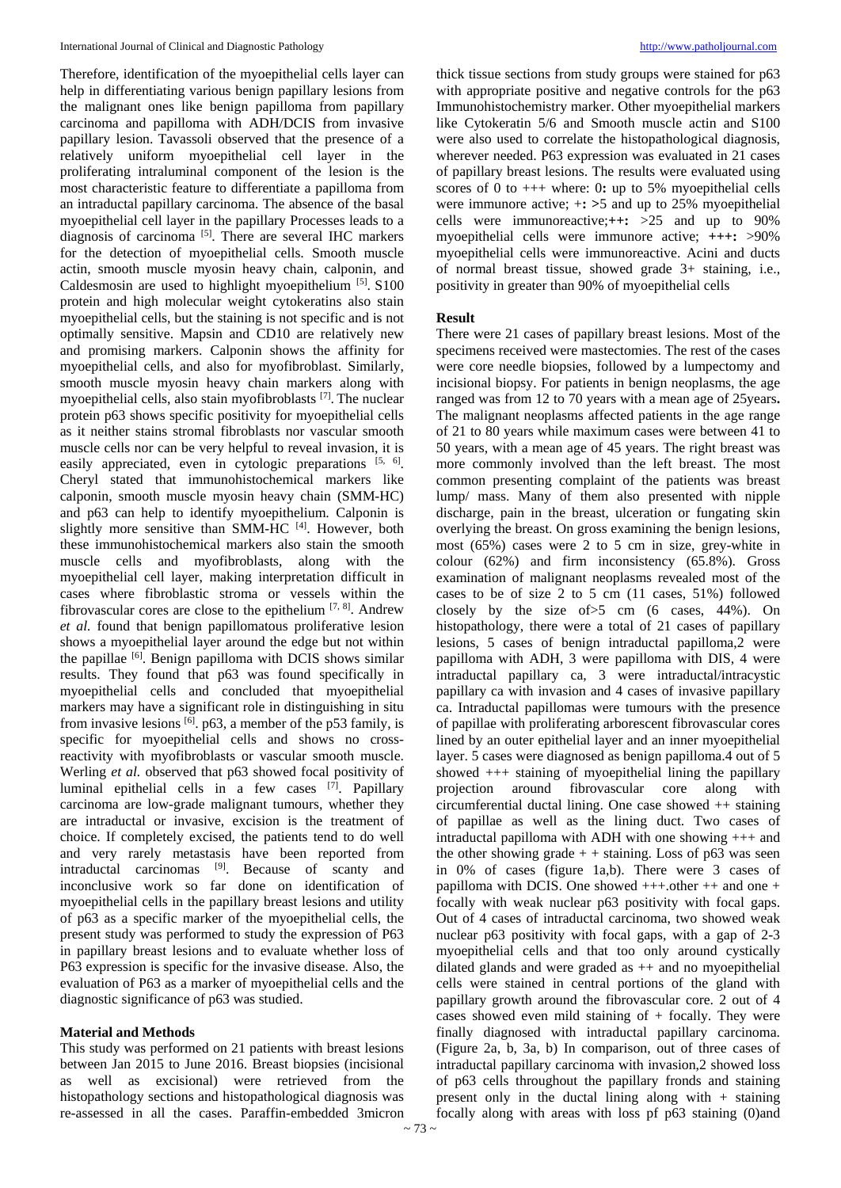Therefore, identification of the myoepithelial cells layer can help in differentiating various benign papillary lesions from the malignant ones like benign papilloma from papillary carcinoma and papilloma with ADH/DCIS from invasive papillary lesion. Tavassoli observed that the presence of a relatively uniform myoepithelial cell layer in the proliferating intraluminal component of the lesion is the most characteristic feature to differentiate a papilloma from an intraductal papillary carcinoma. The absence of the basal myoepithelial cell layer in the papillary Processes leads to a diagnosis of carcinoma [5] . There are several IHC markers for the detection of myoepithelial cells. Smooth muscle actin, smooth muscle myosin heavy chain, calponin, and Caldesmosin are used to highlight myoepithelium [5]. S100 protein and high molecular weight cytokeratins also stain myoepithelial cells, but the staining is not specific and is not optimally sensitive. Mapsin and CD10 are relatively new and promising markers. Calponin shows the affinity for myoepithelial cells, and also for myofibroblast. Similarly, smooth muscle myosin heavy chain markers along with myoepithelial cells, also stain myofibroblasts [7]. The nuclear protein p63 shows specific positivity for myoepithelial cells as it neither stains stromal fibroblasts nor vascular smooth muscle cells nor can be very helpful to reveal invasion, it is easily appreciated, even in cytologic preparations [5, 6]. Cheryl stated that immunohistochemical markers like calponin, smooth muscle myosin heavy chain (SMM-HC) and p63 can help to identify myoepithelium. Calponin is slightly more sensitive than SMM-HC<sup>[4]</sup>. However, both these immunohistochemical markers also stain the smooth muscle cells and myofibroblasts, along with the myoepithelial cell layer, making interpretation difficult in cases where fibroblastic stroma or vessels within the fibrovascular cores are close to the epithelium  $[7, 8]$ . Andrew *et al.* found that benign papillomatous proliferative lesion shows a myoepithelial layer around the edge but not within the papillae <sup>[6]</sup>. Benign papilloma with DCIS shows similar results. They found that p63 was found specifically in myoepithelial cells and concluded that myoepithelial markers may have a significant role in distinguishing in situ from invasive lesions <sup>[6]</sup>. p63, a member of the p53 family, is specific for myoepithelial cells and shows no crossreactivity with myofibroblasts or vascular smooth muscle. Werling *et al.* observed that p63 showed focal positivity of luminal epithelial cells in a few cases [7]. Papillary carcinoma are low-grade malignant tumours, whether they are intraductal or invasive, excision is the treatment of choice. If completely excised, the patients tend to do well and very rarely metastasis have been reported from intraductal carcinomas <sup>[9]</sup>. Because of scanty and inconclusive work so far done on identification of myoepithelial cells in the papillary breast lesions and utility of p63 as a specific marker of the myoepithelial cells, the present study was performed to study the expression of P63 in papillary breast lesions and to evaluate whether loss of P63 expression is specific for the invasive disease. Also, the evaluation of P63 as a marker of myoepithelial cells and the diagnostic significance of p63 was studied.

# **Material and Methods**

This study was performed on 21 patients with breast lesions between Jan 2015 to June 2016. Breast biopsies (incisional as well as excisional) were retrieved from the histopathology sections and histopathological diagnosis was re-assessed in all the cases. Paraffin-embedded 3micron thick tissue sections from study groups were stained for p63 with appropriate positive and negative controls for the  $p63$ Immunohistochemistry marker. Other myoepithelial markers like Cytokeratin 5/6 and Smooth muscle actin and S100 were also used to correlate the histopathological diagnosis, wherever needed. P63 expression was evaluated in 21 cases of papillary breast lesions. The results were evaluated using scores of 0 to +++ where: 0**:** up to 5% myoepithelial cells were immunore active; +**: >**5 and up to 25% myoepithelial cells were immunoreactive;**++:** >25 and up to 90% myoepithelial cells were immunore active; **+++:** >90% myoepithelial cells were immunoreactive. Acini and ducts of normal breast tissue, showed grade 3+ staining, i.e., positivity in greater than 90% of myoepithelial cells

#### **Result**

There were 21 cases of papillary breast lesions. Most of the specimens received were mastectomies. The rest of the cases were core needle biopsies, followed by a lumpectomy and incisional biopsy. For patients in benign neoplasms, the age ranged was from 12 to 70 years with a mean age of 25years**.** The malignant neoplasms affected patients in the age range of 21 to 80 years while maximum cases were between 41 to 50 years, with a mean age of 45 years. The right breast was more commonly involved than the left breast. The most common presenting complaint of the patients was breast lump/ mass. Many of them also presented with nipple discharge, pain in the breast, ulceration or fungating skin overlying the breast. On gross examining the benign lesions, most (65%) cases were 2 to 5 cm in size, grey-white in colour (62%) and firm inconsistency (65.8%). Gross examination of malignant neoplasms revealed most of the cases to be of size 2 to 5 cm (11 cases, 51%) followed closely by the size  $of > 5$  cm (6 cases, 44%). On histopathology, there were a total of 21 cases of papillary lesions, 5 cases of benign intraductal papilloma,2 were papilloma with ADH, 3 were papilloma with DIS, 4 were intraductal papillary ca, 3 were intraductal/intracystic papillary ca with invasion and 4 cases of invasive papillary ca. Intraductal papillomas were tumours with the presence of papillae with proliferating arborescent fibrovascular cores lined by an outer epithelial layer and an inner myoepithelial layer. 5 cases were diagnosed as benign papilloma.4 out of 5 showed +++ staining of myoepithelial lining the papillary projection around fibrovascular core along with circumferential ductal lining. One case showed ++ staining of papillae as well as the lining duct. Two cases of intraductal papilloma with ADH with one showing +++ and the other showing grade  $+$  + staining. Loss of p63 was seen in 0% of cases (figure 1a,b). There were 3 cases of papilloma with DCIS. One showed +++.other ++ and one + focally with weak nuclear p63 positivity with focal gaps. Out of 4 cases of intraductal carcinoma, two showed weak nuclear p63 positivity with focal gaps, with a gap of 2-3 myoepithelial cells and that too only around cystically dilated glands and were graded as  $++$  and no myoepithelial cells were stained in central portions of the gland with papillary growth around the fibrovascular core. 2 out of 4 cases showed even mild staining of  $+$  focally. They were finally diagnosed with intraductal papillary carcinoma. (Figure 2a, b, 3a, b) In comparison, out of three cases of intraductal papillary carcinoma with invasion,2 showed loss of p63 cells throughout the papillary fronds and staining present only in the ductal lining along with  $+$  staining focally along with areas with loss pf p63 staining (0)and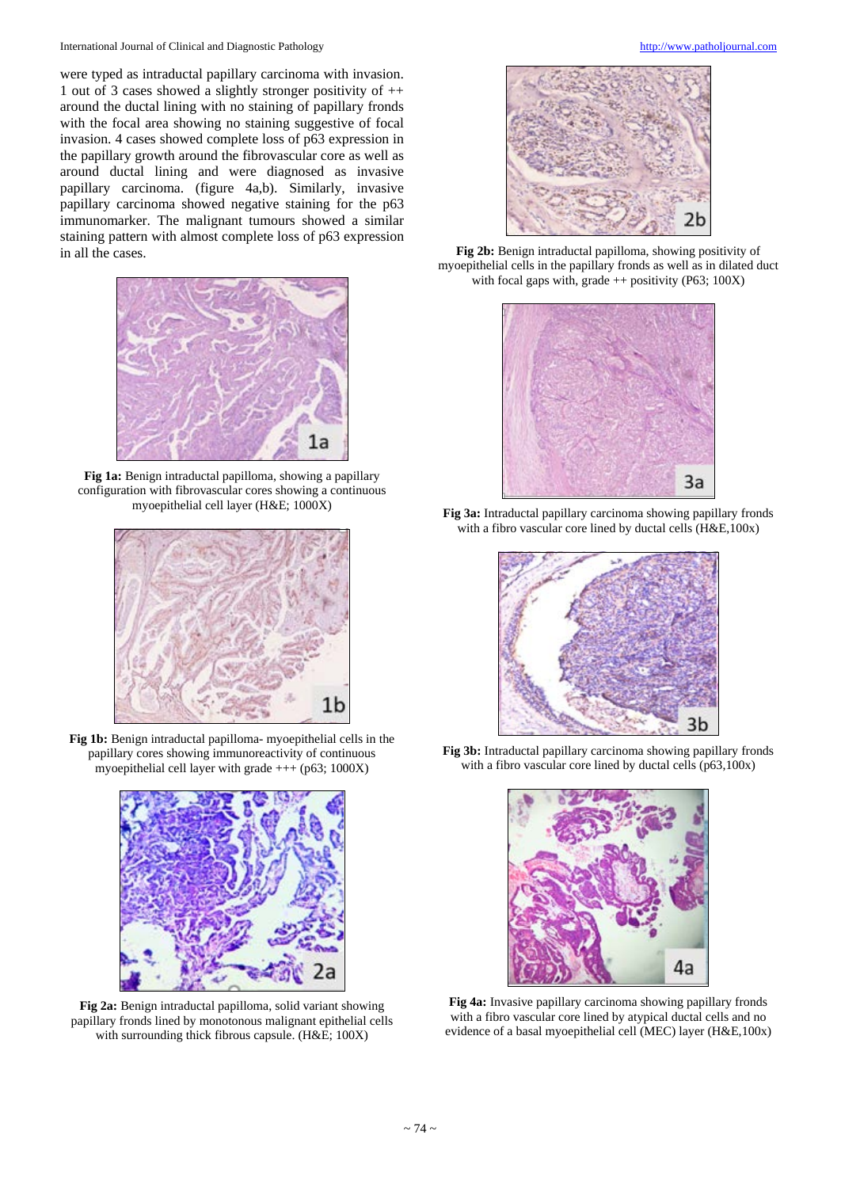were typed as intraductal papillary carcinoma with invasion. 1 out of 3 cases showed a slightly stronger positivity of  $++$ around the ductal lining with no staining of papillary fronds with the focal area showing no staining suggestive of focal invasion. 4 cases showed complete loss of p63 expression in the papillary growth around the fibrovascular core as well as around ductal lining and were diagnosed as invasive papillary carcinoma. (figure 4a,b). Similarly, invasive papillary carcinoma showed negative staining for the p63 immunomarker. The malignant tumours showed a similar staining pattern with almost complete loss of p63 expression in all the cases.



**Fig 1a:** Benign intraductal papilloma, showing a papillary configuration with fibrovascular cores showing a continuous myoepithelial cell layer (H&E; 1000X)



**Fig 1b:** Benign intraductal papilloma- myoepithelial cells in the papillary cores showing immunoreactivity of continuous myoepithelial cell layer with grade  $++$  (p63; 1000X)



**Fig 2a:** Benign intraductal papilloma, solid variant showing papillary fronds lined by monotonous malignant epithelial cells with surrounding thick fibrous capsule. (H&E; 100X)



**Fig 2b:** Benign intraductal papilloma, showing positivity of myoepithelial cells in the papillary fronds as well as in dilated duct with focal gaps with, grade  $++$  positivity (P63; 100X)



**Fig 3a:** Intraductal papillary carcinoma showing papillary fronds with a fibro vascular core lined by ductal cells (H&E,100x)



**Fig 3b:** Intraductal papillary carcinoma showing papillary fronds with a fibro vascular core lined by ductal cells (p63,100x)



**Fig 4a:** Invasive papillary carcinoma showing papillary fronds with a fibro vascular core lined by atypical ductal cells and no evidence of a basal myoepithelial cell (MEC) layer (H&E,100x)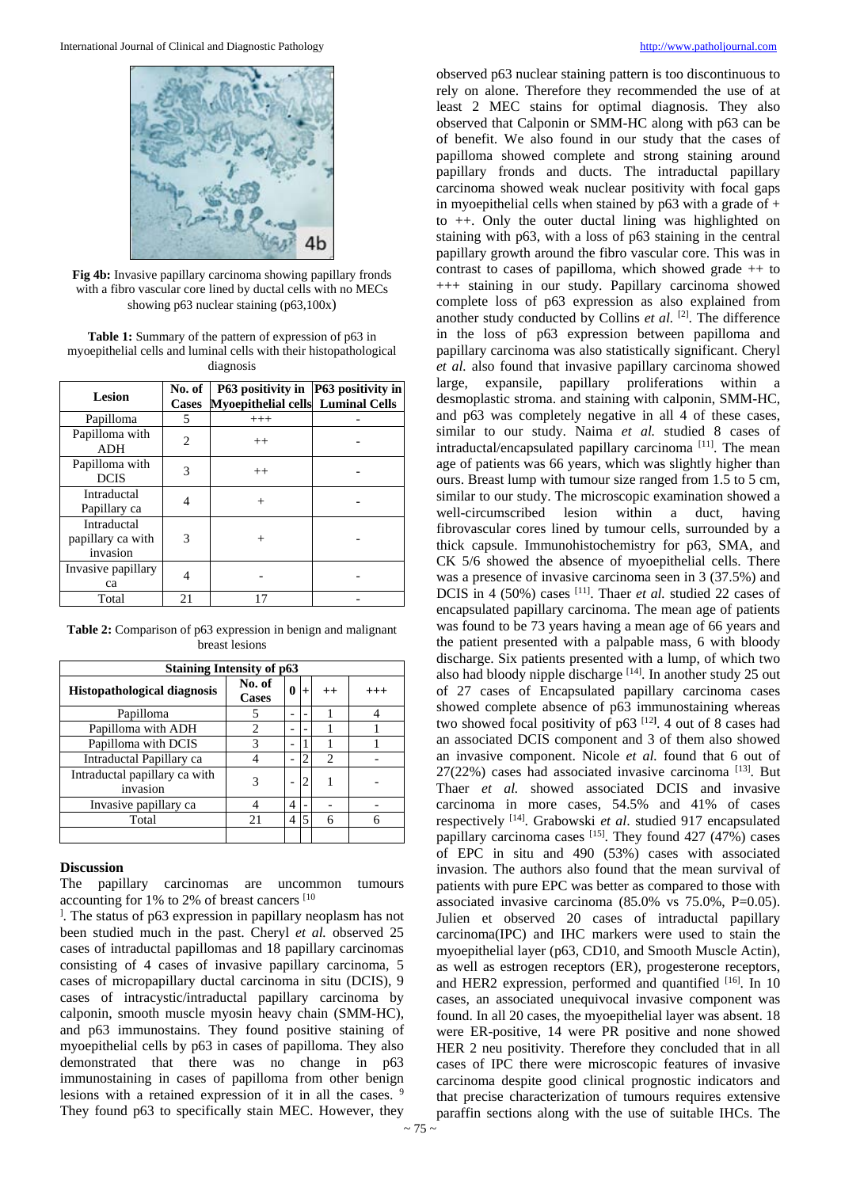

**Fig 4b:** Invasive papillary carcinoma showing papillary fronds with a fibro vascular core lined by ductal cells with no MECs showing p63 nuclear staining (p63,100x)

**Table 1:** Summary of the pattern of expression of p63 in myoepithelial cells and luminal cells with their histopathological diagnosis

| Lesion                                       | No. of<br><b>Cases</b> | P63 positivity in  P63 positivity in<br>Myoepithelial cells Luminal Cells |  |
|----------------------------------------------|------------------------|---------------------------------------------------------------------------|--|
| Papilloma                                    | 5                      | $+++$                                                                     |  |
| Papilloma with<br><b>ADH</b>                 | 2                      | $^{++}$                                                                   |  |
| Papilloma with<br><b>DCIS</b>                | 3                      | $^{++}$                                                                   |  |
| Intraductal<br>Papillary ca                  |                        | $^{+}$                                                                    |  |
| Intraductal<br>papillary ca with<br>invasion | 3                      | $^{+}$                                                                    |  |
| Invasive papillary<br>ca                     |                        |                                                                           |  |
| Total                                        | 21                     |                                                                           |  |

**Table 2:** Comparison of p63 expression in benign and malignant breast lesions

| <b>Staining Intensity of p63</b>          |                        |                |                |                |          |  |  |
|-------------------------------------------|------------------------|----------------|----------------|----------------|----------|--|--|
| <b>Histopathological diagnosis</b>        | No. of<br><b>Cases</b> | 0              | $+$            | $^{++}$        | $^{+++}$ |  |  |
| Papilloma                                 |                        |                |                |                |          |  |  |
| Papilloma with ADH                        | $\mathfrak{D}$         |                |                |                |          |  |  |
| Papilloma with DCIS                       | 3                      |                |                |                |          |  |  |
| Intraductal Papillary ca                  |                        | $\overline{a}$ | $\overline{c}$ | $\overline{c}$ |          |  |  |
| Intraductal papillary ca with<br>invasion | 3                      |                |                |                |          |  |  |
| Invasive papillary ca                     |                        | 4              |                |                |          |  |  |
| Total                                     | 21                     | 4              |                | 6              |          |  |  |
|                                           |                        |                |                |                |          |  |  |

### **Discussion**

The papillary carcinomas are uncommon tumours accounting for 1% to 2% of breast cancers [10

<sup>1</sup>. The status of p63 expression in papillary neoplasm has not been studied much in the past. Cheryl *et al.* observed 25 cases of intraductal papillomas and 18 papillary carcinomas consisting of 4 cases of invasive papillary carcinoma, 5 cases of micropapillary ductal carcinoma in situ (DCIS), 9 cases of intracystic/intraductal papillary carcinoma by calponin, smooth muscle myosin heavy chain (SMM-HC), and p63 immunostains. They found positive staining of myoepithelial cells by p63 in cases of papilloma. They also demonstrated that there was no change in p63 immunostaining in cases of papilloma from other benign lesions with a retained expression of it in all the cases. 9 They found p63 to specifically stain MEC. However, they

observed p63 nuclear staining pattern is too discontinuous to rely on alone. Therefore they recommended the use of at least 2 MEC stains for optimal diagnosis. They also observed that Calponin or SMM-HC along with p63 can be of benefit. We also found in our study that the cases of papilloma showed complete and strong staining around papillary fronds and ducts. The intraductal papillary carcinoma showed weak nuclear positivity with focal gaps in myoepithelial cells when stained by p63 with a grade of + to ++. Only the outer ductal lining was highlighted on staining with p63, with a loss of p63 staining in the central papillary growth around the fibro vascular core. This was in contrast to cases of papilloma, which showed grade ++ to +++ staining in our study. Papillary carcinoma showed complete loss of p63 expression as also explained from another study conducted by Collins *et al.* <sup>[2]</sup>. The difference in the loss of p63 expression between papilloma and papillary carcinoma was also statistically significant. Cheryl *et al.* also found that invasive papillary carcinoma showed large, expansile, papillary proliferations within a desmoplastic stroma. and staining with calponin, SMM-HC, and p63 was completely negative in all 4 of these cases, similar to our study. Naima *et al.* studied 8 cases of intraductal/encapsulated papillary carcinoma<sup>[11]</sup>. The mean age of patients was 66 years, which was slightly higher than ours. Breast lump with tumour size ranged from 1.5 to 5 cm, similar to our study. The microscopic examination showed a well-circumscribed lesion within a duct, having fibrovascular cores lined by tumour cells, surrounded by a thick capsule. Immunohistochemistry for p63, SMA, and CK 5/6 showed the absence of myoepithelial cells. There was a presence of invasive carcinoma seen in 3 (37.5%) and DCIS in 4 (50%) cases <sup>[11]</sup>. Thaer *et al.* studied 22 cases of encapsulated papillary carcinoma. The mean age of patients was found to be 73 years having a mean age of 66 years and the patient presented with a palpable mass, 6 with bloody discharge. Six patients presented with a lump, of which two also had bloody nipple discharge [14]. In another study 25 out of 27 cases of Encapsulated papillary carcinoma cases showed complete absence of p63 immunostaining whereas two showed focal positivity of p63 [12**]** . 4 out of 8 cases had an associated DCIS component and 3 of them also showed an invasive component. Nicole *et al.* found that 6 out of  $27(22%)$  cases had associated invasive carcinoma<sup>[13]</sup>. But Thaer *et al.* showed associated DCIS and invasive carcinoma in more cases, 54.5% and 41% of cases respectively [14] . Grabowski *et al*. studied 917 encapsulated papillary carcinoma cases  $[15]$ . They found 427 (47%) cases of EPC in situ and 490 (53%) cases with associated invasion. The authors also found that the mean survival of patients with pure EPC was better as compared to those with associated invasive carcinoma (85.0% vs 75.0%, P=0.05). Julien et observed 20 cases of intraductal papillary carcinoma(IPC) and IHC markers were used to stain the myoepithelial layer (p63, CD10, and Smooth Muscle Actin), as well as estrogen receptors (ER), progesterone receptors, and HER2 expression, performed and quantified [16]. In 10 cases, an associated unequivocal invasive component was found. In all 20 cases, the myoepithelial layer was absent. 18 were ER-positive, 14 were PR positive and none showed HER 2 neu positivity. Therefore they concluded that in all cases of IPC there were microscopic features of invasive carcinoma despite good clinical prognostic indicators and that precise characterization of tumours requires extensive paraffin sections along with the use of suitable IHCs. The